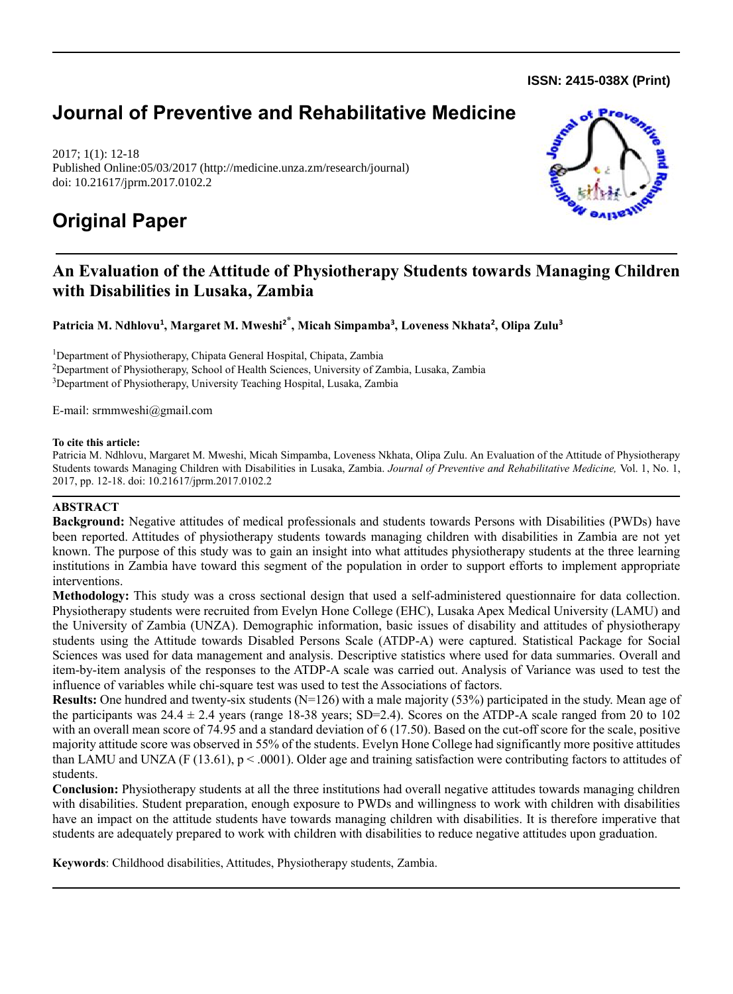**ISSN: 2415-038X (Print)** 

# **Journal of Preventive and Rehabilitative Medicine**

2017; 1(1): 12-18 Published Online:05/03/2017 (http://medicine.unza.zm/research/journal) doi: 10.21617/jprm.2017.0102.2

# **Original Paper**



# **An Evaluation of the Attitude of Physiotherapy Students towards Managing Children with Disabilities in Lusaka, Zambia**

**Patricia M. Ndhlovu<sup>1</sup> , Margaret M. Mweshi<sup>2</sup>**\* **, Micah Simpamba<sup>3</sup> , Loveness Nkhata<sup>2</sup> , Olipa Zulu<sup>3</sup>**

<sup>1</sup>Department of Physiotherapy, Chipata General Hospital, Chipata, Zambia <sup>2</sup>Department of Physiotherapy, School of Health Sciences, University of Zambia, Lusaka, Zambia <sup>3</sup>Department of Physiotherapy, University Teaching Hospital, Lusaka, Zambia

E-mail: srmmweshi@gmail.com

#### **To cite this article:**

Patricia M. Ndhlovu, Margaret M. Mweshi, Micah Simpamba, Loveness Nkhata, Olipa Zulu. An Evaluation of the Attitude of Physiotherapy Students towards Managing Children with Disabilities in Lusaka, Zambia. *Journal of Preventive and Rehabilitative Medicine,* Vol. 1, No. 1, 2017, pp. 12-18. doi: 10.21617/jprm.2017.0102.2

# **ABSTRACT**

**Background:** Negative attitudes of medical professionals and students towards Persons with Disabilities (PWDs) have been reported. Attitudes of physiotherapy students towards managing children with disabilities in Zambia are not yet known. The purpose of this study was to gain an insight into what attitudes physiotherapy students at the three learning institutions in Zambia have toward this segment of the population in order to support efforts to implement appropriate interventions.

**Methodology:** This study was a cross sectional design that used a self-administered questionnaire for data collection. Physiotherapy students were recruited from Evelyn Hone College (EHC), Lusaka Apex Medical University (LAMU) and the University of Zambia (UNZA). Demographic information, basic issues of disability and attitudes of physiotherapy students using the Attitude towards Disabled Persons Scale (ATDP-A) were captured. Statistical Package for Social Sciences was used for data management and analysis. Descriptive statistics where used for data summaries. Overall and item-by-item analysis of the responses to the ATDP-A scale was carried out. Analysis of Variance was used to test the influence of variables while chi-square test was used to test the Associations of factors.

**Results:** One hundred and twenty-six students (N=126) with a male majority (53%) participated in the study. Mean age of the participants was  $24.4 \pm 2.4$  years (range 18-38 years; SD=2.4). Scores on the ATDP-A scale ranged from 20 to 102 with an overall mean score of 74.95 and a standard deviation of 6 (17.50). Based on the cut-off score for the scale, positive majority attitude score was observed in 55% of the students. Evelyn Hone College had significantly more positive attitudes than LAMU and UNZA (F (13.61),  $p < .0001$ ). Older age and training satisfaction were contributing factors to attitudes of students.

**Conclusion:** Physiotherapy students at all the three institutions had overall negative attitudes towards managing children with disabilities. Student preparation, enough exposure to PWDs and willingness to work with children with disabilities have an impact on the attitude students have towards managing children with disabilities. It is therefore imperative that students are adequately prepared to work with children with disabilities to reduce negative attitudes upon graduation.

**Keywords**: Childhood disabilities, Attitudes, Physiotherapy students, Zambia.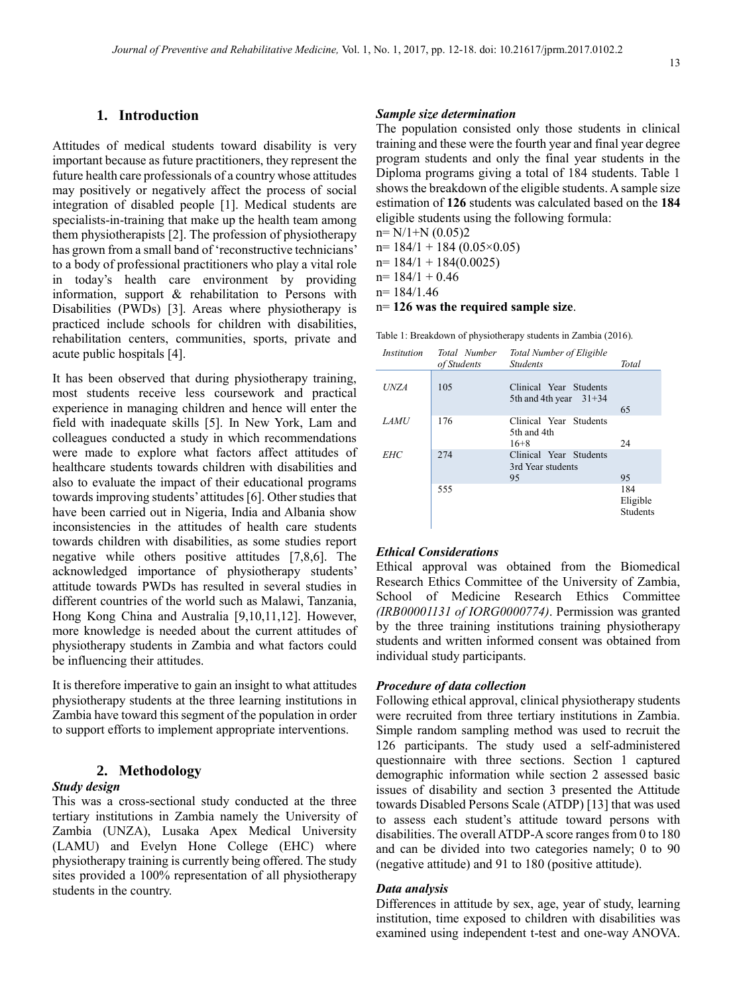# **1. Introduction**

Attitudes of medical students toward disability is very important because as future practitioners, they represent the future health care professionals of a country whose attitudes may positively or negatively affect the process of social integration of disabled people [1]. Medical students are specialists-in-training that make up the health team among them physiotherapists [2]. The profession of physiotherapy has grown from a small band of 'reconstructive technicians' to a body of professional practitioners who play a vital role in today's health care environment by providing information, support & rehabilitation to Persons with Disabilities (PWDs) [3]. Areas where physiotherapy is practiced include schools for children with disabilities, rehabilitation centers, communities, sports, private and acute public hospitals [4].

It has been observed that during physiotherapy training, most students receive less coursework and practical experience in managing children and hence will enter the field with inadequate skills [5]. In New York, Lam and colleagues conducted a study in which recommendations were made to explore what factors affect attitudes of healthcare students towards children with disabilities and also to evaluate the impact of their educational programs towards improving students' attitudes [6]. Other studies that have been carried out in Nigeria, India and Albania show inconsistencies in the attitudes of health care students towards children with disabilities, as some studies report negative while others positive attitudes [7,8,6]. The acknowledged importance of physiotherapy students' attitude towards PWDs has resulted in several studies in different countries of the world such as Malawi, Tanzania, Hong Kong China and Australia [9,10,11,12]. However, more knowledge is needed about the current attitudes of physiotherapy students in Zambia and what factors could be influencing their attitudes.

It is therefore imperative to gain an insight to what attitudes physiotherapy students at the three learning institutions in Zambia have toward this segment of the population in order to support efforts to implement appropriate interventions.

# **2. Methodology**

#### *Study design*

This was a cross-sectional study conducted at the three tertiary institutions in Zambia namely the University of Zambia (UNZA), Lusaka Apex Medical University (LAMU) and Evelyn Hone College (EHC) where physiotherapy training is currently being offered. The study sites provided a 100% representation of all physiotherapy students in the country.

# *Sample size determination*

The population consisted only those students in clinical training and these were the fourth year and final year degree program students and only the final year students in the Diploma programs giving a total of 184 students. Table 1 shows the breakdown of the eligible students. A sample size estimation of **126** students was calculated based on the **184**  eligible students using the following formula:

 $n = N/1+N (0.05)2$ 

 $n= 184/1 + 184 (0.05 \times 0.05)$ 

n= 184/1 + 184(0.0025)

 $n= 184/1 + 0.46$ 

 $n= 184/1.46$ 

n= **126 was the required sample size**.

Table 1: Breakdown of physiotherapy students in Zambia (2016).

| <i>Institution</i> | Total Number<br>of Students | <b>Total Number of Eligible</b><br><b>Students</b> | Total                              |
|--------------------|-----------------------------|----------------------------------------------------|------------------------------------|
| <b>UNZA</b>        | 105                         | Clinical Year Students<br>5th and 4th year $31+34$ | 65                                 |
| <b>LAMU</b>        | 176                         | Clinical Year Students<br>5th and 4th<br>$16+8$    | 24                                 |
| <b>EHC</b>         | 274                         | Clinical Year Students<br>3rd Year students<br>95  | 95                                 |
|                    | 555                         |                                                    | 184<br>Eligible<br><b>Students</b> |

#### *Ethical Considerations*

Ethical approval was obtained from the Biomedical Research Ethics Committee of the University of Zambia, School of Medicine Research Ethics Committee *(IRB00001131 of IORG0000774)*. Permission was granted by the three training institutions training physiotherapy students and written informed consent was obtained from individual study participants.

#### *Procedure of data collection*

Following ethical approval, clinical physiotherapy students were recruited from three tertiary institutions in Zambia. Simple random sampling method was used to recruit the 126 participants. The study used a self-administered questionnaire with three sections. Section 1 captured demographic information while section 2 assessed basic issues of disability and section 3 presented the Attitude towards Disabled Persons Scale (ATDP) [13] that was used to assess each student's attitude toward persons with disabilities. The overall ATDP-A score ranges from 0 to 180 and can be divided into two categories namely; 0 to 90 (negative attitude) and 91 to 180 (positive attitude).

#### *Data analysis*

Differences in attitude by sex, age, year of study, learning institution, time exposed to children with disabilities was examined using independent t-test and one-way ANOVA.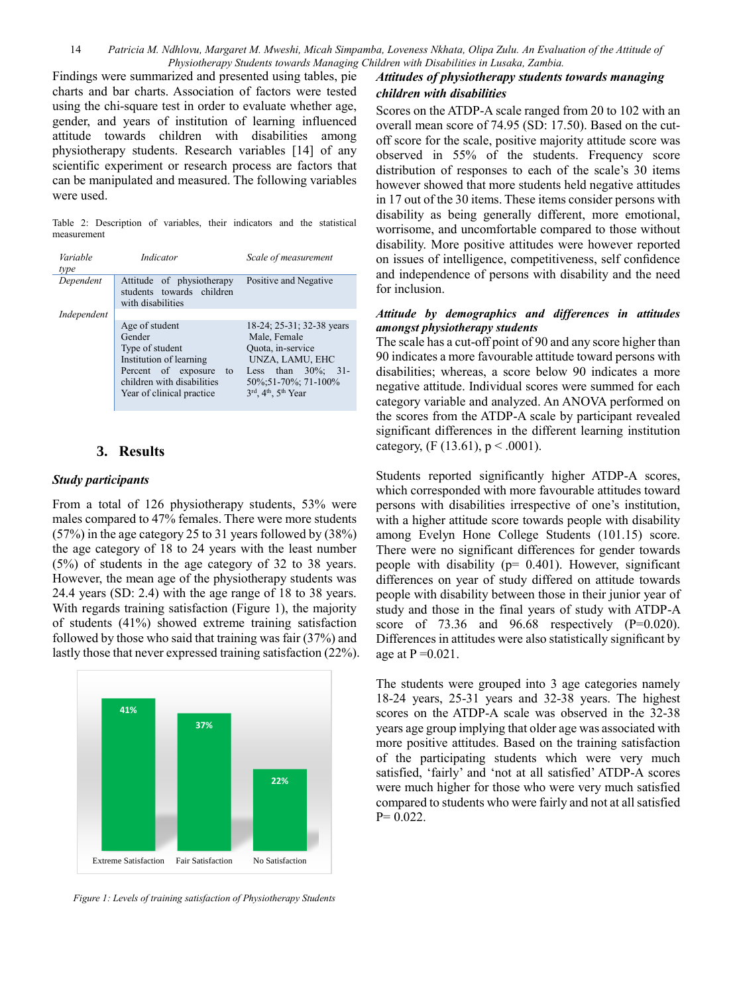14 *Patricia M. Ndhlovu, Margaret M. Mweshi, Micah Simpamba, Loveness Nkhata, Olipa Zulu. An Evaluation of the Attitude of Physiotherapy Students towards Managing Children with Disabilities in Lusaka, Zambia.*

Findings were summarized and presented using tables, pie charts and bar charts. Association of factors were tested using the chi-square test in order to evaluate whether age, gender, and years of institution of learning influenced attitude towards children with disabilities among physiotherapy students. Research variables [14] of any scientific experiment or research process are factors that can be manipulated and measured. The following variables were used.

Table 2: Description of variables, their indicators and the statistical measurement

| Variable<br>type | Indicator                                                                                                                                                       | Scale of measurement                                                                                                                                                     |  |
|------------------|-----------------------------------------------------------------------------------------------------------------------------------------------------------------|--------------------------------------------------------------------------------------------------------------------------------------------------------------------------|--|
| Dependent        | Attitude of physiotherapy<br>students towards children<br>with disabilities                                                                                     | Positive and Negative                                                                                                                                                    |  |
| Independent      |                                                                                                                                                                 |                                                                                                                                                                          |  |
|                  | Age of student<br>Gender<br>Type of student<br>Institution of learning<br>Percent of exposure<br>to<br>children with disabilities<br>Year of clinical practice. | 18-24; 25-31; 32-38 years<br>Male, Female<br>Quota, in-service<br>UNZA, LAMU, EHC<br>Less than $30\%$ :<br>$-31-$<br>50\%,51-70\%,71-100\%<br>$3rd$ , $4th$ , $5th$ Year |  |

# **3. Results**

#### *Study participants*

From a total of 126 physiotherapy students, 53% were males compared to 47% females. There were more students (57%) in the age category 25 to 31 years followed by (38%) the age category of 18 to 24 years with the least number (5%) of students in the age category of 32 to 38 years. However, the mean age of the physiotherapy students was 24.4 years (SD: 2.4) with the age range of 18 to 38 years. With regards training satisfaction (Figure 1), the majority of students (41%) showed extreme training satisfaction followed by those who said that training was fair (37%) and lastly those that never expressed training satisfaction (22%).



*Figure 1: Levels of training satisfaction of Physiotherapy Students*

# *Attitudes of physiotherapy students towards managing children with disabilities*

Scores on the ATDP-A scale ranged from 20 to 102 with an overall mean score of 74.95 (SD: 17.50). Based on the cutoff score for the scale, positive majority attitude score was observed in 55% of the students. Frequency score distribution of responses to each of the scale's 30 items however showed that more students held negative attitudes in 17 out of the 30 items. These items consider persons with disability as being generally different, more emotional, worrisome, and uncomfortable compared to those without disability. More positive attitudes were however reported on issues of intelligence, competitiveness, self confidence and independence of persons with disability and the need for inclusion.

#### *Attitude by demographics and differences in attitudes amongst physiotherapy students*

The scale has a cut-off point of 90 and any score higher than 90 indicates a more favourable attitude toward persons with disabilities; whereas, a score below 90 indicates a more negative attitude. Individual scores were summed for each category variable and analyzed. An ANOVA performed on the scores from the ATDP-A scale by participant revealed significant differences in the different learning institution category,  $(F (13.61), p < .0001)$ .

Students reported significantly higher ATDP-A scores, which corresponded with more favourable attitudes toward persons with disabilities irrespective of one's institution, with a higher attitude score towards people with disability among Evelyn Hone College Students (101.15) score. There were no significant differences for gender towards people with disability (p= 0.401). However, significant differences on year of study differed on attitude towards people with disability between those in their junior year of study and those in the final years of study with ATDP-A score of  $73.36$  and  $96.68$  respectively  $(P=0.020)$ . Differences in attitudes were also statistically significant by age at  $P = 0.021$ .

The students were grouped into 3 age categories namely 18-24 years, 25-31 years and 32-38 years. The highest scores on the ATDP-A scale was observed in the 32-38 years age group implying that older age was associated with more positive attitudes. Based on the training satisfaction of the participating students which were very much satisfied, 'fairly' and 'not at all satisfied' ATDP-A scores were much higher for those who were very much satisfied compared to students who were fairly and not at all satisfied  $P= 0.022$ .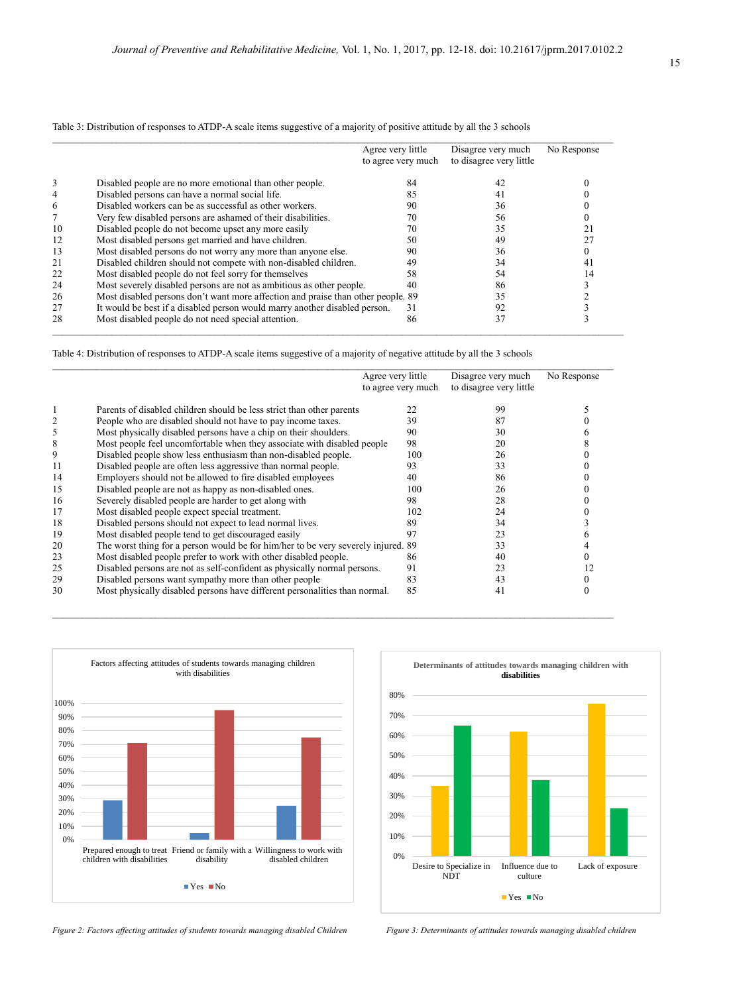|    |                                                                                  | Agree very little<br>to agree very much | Disagree very much<br>to disagree very little | No Response |
|----|----------------------------------------------------------------------------------|-----------------------------------------|-----------------------------------------------|-------------|
| 3  | Disabled people are no more emotional than other people.                         | 84                                      | 42                                            |             |
| 4  | Disabled persons can have a normal social life.                                  | 85                                      | 41                                            |             |
| 6  | Disabled workers can be as successful as other workers.                          | 90                                      | 36                                            |             |
|    | Very few disabled persons are ashamed of their disabilities.                     | 70                                      | 56                                            |             |
| 10 | Disabled people do not become upset any more easily                              | 70                                      | 35                                            |             |
| 12 | Most disabled persons get married and have children.                             | 50                                      | 49                                            |             |
| 13 | Most disabled persons do not worry any more than anyone else.                    | 90                                      | 36                                            |             |
| 21 | Disabled children should not compete with non-disabled children.                 | 49                                      | 34                                            |             |
| 22 | Most disabled people do not feel sorry for themselves                            | 58                                      | 54                                            |             |
| 24 | Most severely disabled persons are not as ambitious as other people.             | 40                                      | 86                                            |             |
| 26 | Most disabled persons don't want more affection and praise than other people. 89 |                                         | 35                                            |             |
| 27 | It would be best if a disabled person would marry another disabled person.       | 31                                      | 92                                            |             |
| 28 | Most disabled people do not need special attention.                              | 86                                      | 37                                            |             |

Table 3: Distribution of responses to ATDP-A scale items suggestive of a majority of positive attitude by all the 3 schools

Table 4: Distribution of responses to ATDP-A scale items suggestive of a majority of negative attitude by all the 3 schools

|    |                                                                                   | Agree very little<br>to agree very much | Disagree very much<br>to disagree very little | No Response |
|----|-----------------------------------------------------------------------------------|-----------------------------------------|-----------------------------------------------|-------------|
|    | Parents of disabled children should be less strict than other parents             | 22                                      | 99                                            |             |
|    | People who are disabled should not have to pay income taxes.                      | 39                                      |                                               |             |
| 5  | Most physically disabled persons have a chip on their shoulders.                  | 90                                      | 30                                            |             |
| 8  | Most people feel uncomfortable when they associate with disabled people           | 98                                      | 20                                            |             |
| 9  | Disabled people show less enthusiasm than non-disabled people.                    | 100                                     | 26                                            |             |
| 11 | Disabled people are often less aggressive than normal people.                     | 93                                      | 33                                            |             |
| 14 | Employers should not be allowed to fire disabled employees                        | 40                                      | 86                                            |             |
| 15 | Disabled people are not as happy as non-disabled ones.                            | 100                                     | 26                                            |             |
| 16 | Severely disabled people are harder to get along with                             | 98                                      | 28                                            |             |
| 17 | Most disabled people expect special treatment.                                    | 102                                     | 24                                            |             |
| 18 | Disabled persons should not expect to lead normal lives.                          | 89                                      | 34                                            |             |
| 19 | Most disabled people tend to get discouraged easily                               | 97                                      | 23                                            |             |
| 20 | The worst thing for a person would be for him/her to be very severely injured. 89 |                                         | 33                                            |             |
| 23 | Most disabled people prefer to work with other disabled people.                   | 86                                      | 40                                            |             |
| 25 | Disabled persons are not as self-confident as physically normal persons.          | 91                                      | 23                                            |             |
| 29 | Disabled persons want sympathy more than other people                             | 83                                      | 43                                            |             |
| 30 | Most physically disabled persons have different personalities than normal.        | 85                                      | 41                                            |             |





*Figure 2: Factors affecting attitudes of students towards managing disabled Children Figure 3: Determinants of attitudes towards managing disabled children*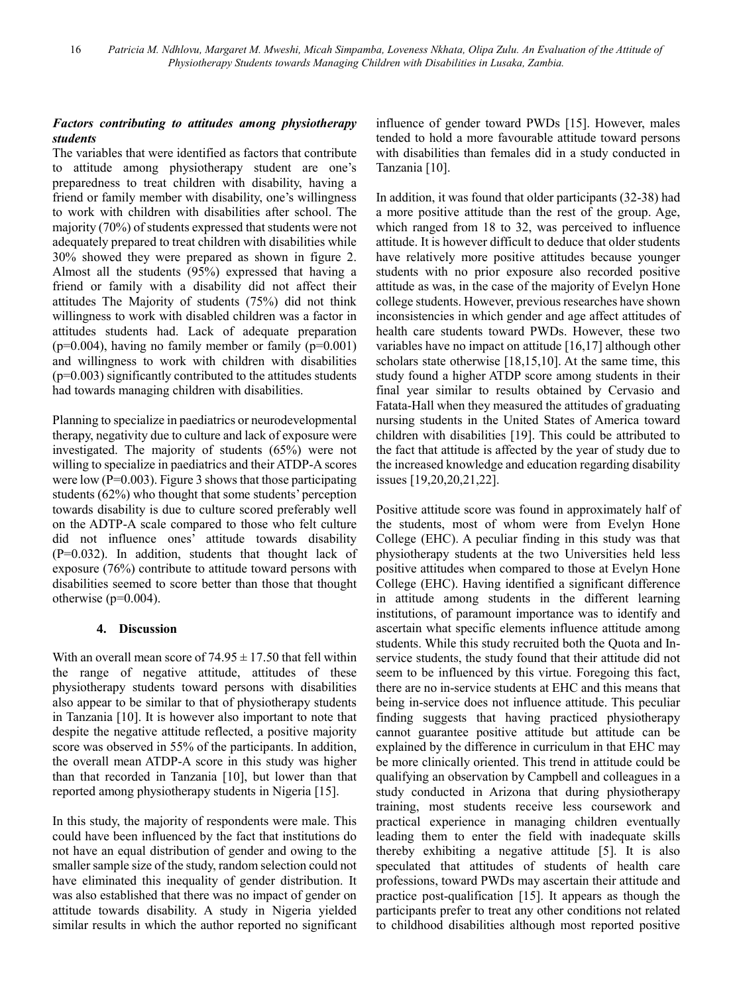# *Factors contributing to attitudes among physiotherapy students*

The variables that were identified as factors that contribute to attitude among physiotherapy student are one's preparedness to treat children with disability, having a friend or family member with disability, one's willingness to work with children with disabilities after school. The majority (70%) of students expressed that students were not adequately prepared to treat children with disabilities while 30% showed they were prepared as shown in figure 2. Almost all the students (95%) expressed that having a friend or family with a disability did not affect their attitudes The Majority of students (75%) did not think willingness to work with disabled children was a factor in attitudes students had. Lack of adequate preparation  $(p=0.004)$ , having no family member or family  $(p=0.001)$ and willingness to work with children with disabilities  $(p=0.003)$  significantly contributed to the attitudes students had towards managing children with disabilities.

Planning to specialize in paediatrics or neurodevelopmental therapy, negativity due to culture and lack of exposure were investigated. The majority of students (65%) were not willing to specialize in paediatrics and their ATDP-A scores were low ( $P=0.003$ ). Figure 3 shows that those participating students (62%) who thought that some students' perception towards disability is due to culture scored preferably well on the ADTP-A scale compared to those who felt culture did not influence ones' attitude towards disability (P=0.032). In addition, students that thought lack of exposure (76%) contribute to attitude toward persons with disabilities seemed to score better than those that thought otherwise  $(p=0.004)$ .

# **4. Discussion**

With an overall mean score of  $74.95 \pm 17.50$  that fell within the range of negative attitude, attitudes of these physiotherapy students toward persons with disabilities also appear to be similar to that of physiotherapy students in Tanzania [10]. It is however also important to note that despite the negative attitude reflected, a positive majority score was observed in 55% of the participants. In addition, the overall mean ATDP-A score in this study was higher than that recorded in Tanzania [10], but lower than that reported among physiotherapy students in Nigeria [15].

In this study, the majority of respondents were male. This could have been influenced by the fact that institutions do not have an equal distribution of gender and owing to the smaller sample size of the study, random selection could not have eliminated this inequality of gender distribution. It was also established that there was no impact of gender on attitude towards disability. A study in Nigeria yielded similar results in which the author reported no significant influence of gender toward PWDs [15]. However, males tended to hold a more favourable attitude toward persons with disabilities than females did in a study conducted in Tanzania [10].

In addition, it was found that older participants (32-38) had a more positive attitude than the rest of the group. Age, which ranged from 18 to 32, was perceived to influence attitude. It is however difficult to deduce that older students have relatively more positive attitudes because younger students with no prior exposure also recorded positive attitude as was, in the case of the majority of Evelyn Hone college students. However, previous researches have shown inconsistencies in which gender and age affect attitudes of health care students toward PWDs. However, these two variables have no impact on attitude [16,17] although other scholars state otherwise [18,15,10]. At the same time, this study found a higher ATDP score among students in their final year similar to results obtained by Cervasio and Fatata-Hall when they measured the attitudes of graduating nursing students in the United States of America toward children with disabilities [19]. This could be attributed to the fact that attitude is affected by the year of study due to the increased knowledge and education regarding disability issues [19,20,20,21,22].

Positive attitude score was found in approximately half of the students, most of whom were from Evelyn Hone College (EHC). A peculiar finding in this study was that physiotherapy students at the two Universities held less positive attitudes when compared to those at Evelyn Hone College (EHC). Having identified a significant difference in attitude among students in the different learning institutions, of paramount importance was to identify and ascertain what specific elements influence attitude among students. While this study recruited both the Quota and Inservice students, the study found that their attitude did not seem to be influenced by this virtue. Foregoing this fact, there are no in-service students at EHC and this means that being in-service does not influence attitude. This peculiar finding suggests that having practiced physiotherapy cannot guarantee positive attitude but attitude can be explained by the difference in curriculum in that EHC may be more clinically oriented. This trend in attitude could be qualifying an observation by Campbell and colleagues in a study conducted in Arizona that during physiotherapy training, most students receive less coursework and practical experience in managing children eventually leading them to enter the field with inadequate skills thereby exhibiting a negative attitude [5]. It is also speculated that attitudes of students of health care professions, toward PWDs may ascertain their attitude and practice post-qualification [15]. It appears as though the participants prefer to treat any other conditions not related to childhood disabilities although most reported positive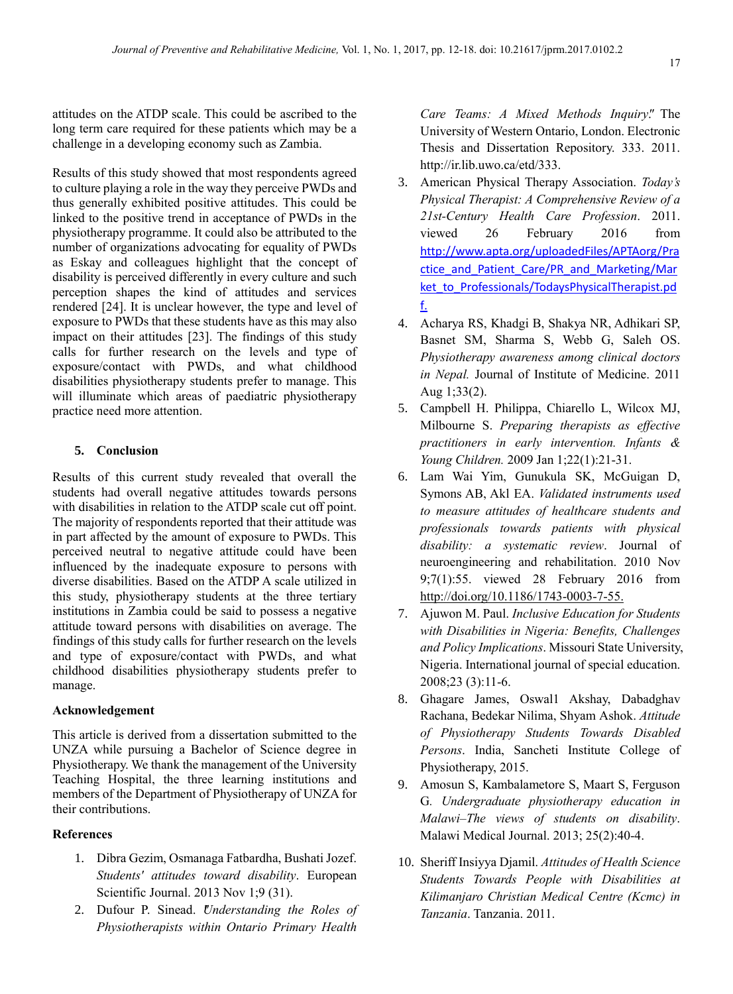attitudes on the ATDP scale. This could be ascribed to the long term care required for these patients which may be a challenge in a developing economy such as Zambia.

Results of this study showed that most respondents agreed to culture playing a role in the way they perceive PWDs and thus generally exhibited positive attitudes. This could be linked to the positive trend in acceptance of PWDs in the physiotherapy programme. It could also be attributed to the number of organizations advocating for equality of PWDs as Eskay and colleagues highlight that the concept of disability is perceived differently in every culture and such perception shapes the kind of attitudes and services rendered [24]. It is unclear however, the type and level of exposure to PWDs that these students have as this may also impact on their attitudes [23]. The findings of this study calls for further research on the levels and type of exposure/contact with PWDs, and what childhood disabilities physiotherapy students prefer to manage. This will illuminate which areas of paediatric physiotherapy practice need more attention.

# **5. Conclusion**

Results of this current study revealed that overall the students had overall negative attitudes towards persons with disabilities in relation to the ATDP scale cut off point. The majority of respondents reported that their attitude was in part affected by the amount of exposure to PWDs. This perceived neutral to negative attitude could have been influenced by the inadequate exposure to persons with diverse disabilities. Based on the ATDP A scale utilized in this study, physiotherapy students at the three tertiary institutions in Zambia could be said to possess a negative attitude toward persons with disabilities on average. The findings of this study calls for further research on the levels and type of exposure/contact with PWDs, and what childhood disabilities physiotherapy students prefer to manage.

#### **Acknowledgement**

This article is derived from a dissertation submitted to the UNZA while pursuing a Bachelor of Science degree in Physiotherapy. We thank the management of the University Teaching Hospital, the three learning institutions and members of the Department of Physiotherapy of UNZA for their contributions.

#### **References**

- 1. Dibra Gezim, Osmanaga Fatbardha, Bushati Jozef. *Students' attitudes toward disability*. European Scientific Journal. 2013 Nov 1;9 (31).
- 2. Dufour P. Sinead. *Understanding the Roles of Physiotherapists within Ontario Primary Health*

*Care Teams: A Mixed Methods Inquiry"*. The University of Western Ontario, London. Electronic Thesis and Dissertation Repository. 333. 2011. [http://ir.lib.uwo.ca/etd/333.](http://ir.lib.uwo.ca/etd/333)

- 3. American Physical Therapy Association. *Today's Physical Therapist: A Comprehensive Review of a 21st-Century Health Care Profession*. 2011. viewed 26 February 2016 from [http://www.apta.org/uploadedFiles/APTAorg/Pra](http://www.apta.org/uploadedFiles/APTAorg/Practice_and_Patient_Care/PR_and_Marketing/Market_to_Professionals/TodaysPhysicalTherapist.pdf) [ctice\\_and\\_Patient\\_Care/PR\\_and\\_Marketing/Mar](http://www.apta.org/uploadedFiles/APTAorg/Practice_and_Patient_Care/PR_and_Marketing/Market_to_Professionals/TodaysPhysicalTherapist.pdf) [ket\\_to\\_Professionals/TodaysPhysicalTherapist.pd](http://www.apta.org/uploadedFiles/APTAorg/Practice_and_Patient_Care/PR_and_Marketing/Market_to_Professionals/TodaysPhysicalTherapist.pdf) [f.](http://www.apta.org/uploadedFiles/APTAorg/Practice_and_Patient_Care/PR_and_Marketing/Market_to_Professionals/TodaysPhysicalTherapist.pdf)
- 4. Acharya RS, Khadgi B, Shakya NR, Adhikari SP, Basnet SM, Sharma S, Webb G, Saleh OS. *Physiotherapy awareness among clinical doctors in Nepal.* Journal of Institute of Medicine. 2011 Aug 1;33(2).
- 5. Campbell H. Philippa, Chiarello L, Wilcox MJ, Milbourne S. *Preparing therapists as effective practitioners in early intervention. Infants & Young Children.* 2009 Jan 1;22(1):21-31.
- 6. Lam Wai Yim, Gunukula SK, McGuigan D, Symons AB, Akl EA. *Validated instruments used to measure attitudes of healthcare students and professionals towards patients with physical disability: a systematic review*. Journal of neuroengineering and rehabilitation. 2010 Nov 9;7(1):55. viewed 28 February 2016 from [http://doi.org/10.1186/1743-0003-7-55.](http://doi.org/10.1186/1743-0003-7-55)
- 7. Ajuwon M. Paul. *Inclusive Education for Students with Disabilities in Nigeria: Benefits, Challenges and Policy Implications*. Missouri State University, Nigeria. International journal of special education. 2008;23 (3):11-6.
- 8. Ghagare James, Oswal1 Akshay, Dabadghav Rachana, Bedekar Nilima, Shyam Ashok. *Attitude of Physiotherapy Students Towards Disabled Persons*. India, Sancheti Institute College of Physiotherapy, 2015.
- 9. Amosun S, Kambalametore S, Maart S, Ferguson G*. Undergraduate physiotherapy education in Malawi–The views of students on disability*. Malawi Medical Journal. 2013; 25(2):40-4.
- 10. Sheriff Insiyya Djamil. *Attitudes of Health Science Students Towards People with Disabilities at Kilimanjaro Christian Medical Centre (Kcmc) in Tanzania*. Tanzania. 2011.